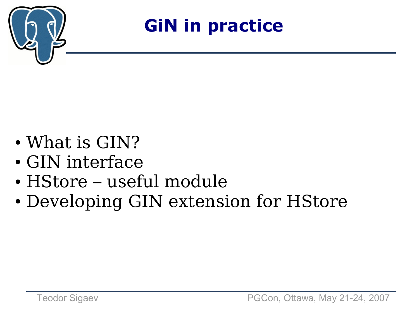

**GiN in practice**

- What is GIN?
- GIN interface
- HStore useful module
- Developing GIN extension for HStore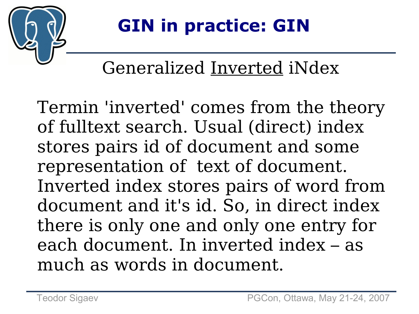

# **GIN in practice: GIN**

#### Generalized Inverted iNdex

Termin 'inverted' comes from the theory of fulltext search. Usual (direct) index stores pairs id of document and some representation of text of document. Inverted index stores pairs of word from document and it's id. So, in direct index there is only one and only one entry for each document. In inverted index – as much as words in document.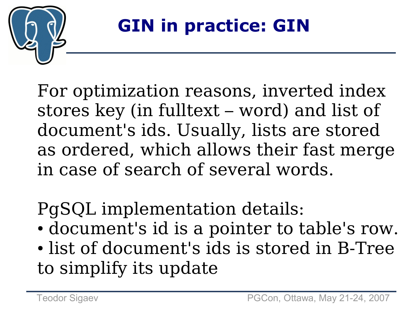

For optimization reasons, inverted index stores key (in fulltext – word) and list of document's ids. Usually, lists are stored as ordered, which allows their fast merge in case of search of several words.

PgSQL implementation details:

- document's id is a pointer to table's row.
- list of document's ids is stored in B-Tree to simplify its update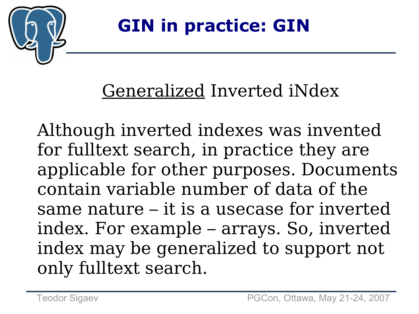

#### Generalized Inverted iNdex

Although inverted indexes was invented for fulltext search, in practice they are applicable for other purposes. Documents contain variable number of data of the same nature – it is a usecase for inverted index. For example – arrays. So, inverted index may be generalized to support not only fulltext search.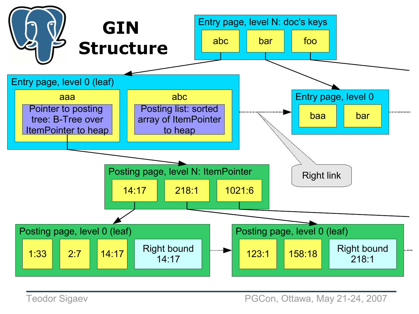

Teodor Sigaev **PGCon, Ottawa, May 21-24, 2007**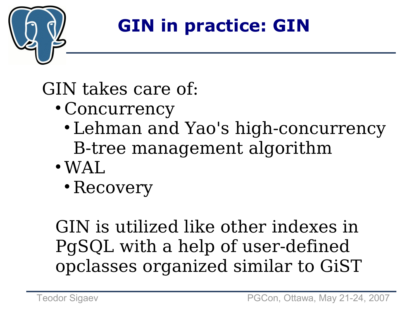

# **GIN in practice: GIN**

GIN takes care of:

- Concurrency
	- Lehman and Yao's high-concurrency B-tree management algorithm
- $\bullet$  WAL.
	- Recovery

GIN is utilized like other indexes in PgSQL with a help of user-defined opclasses organized similar to GiST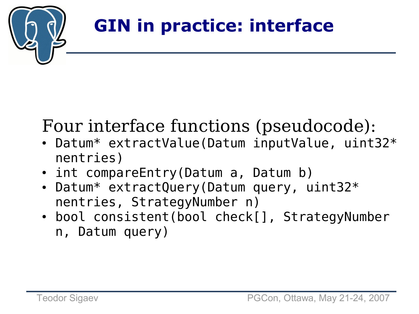

## **GIN in practice: interface**

#### Four interface functions (pseudocode):

- Datum\* extractValue(Datum inputValue, uint32\* nentries)
- int compareEntry(Datum a, Datum b)
- Datum\* extractQuery(Datum query, uint32\* nentries, StrategyNumber n)
- bool consistent(bool check[], StrategyNumber n, Datum query)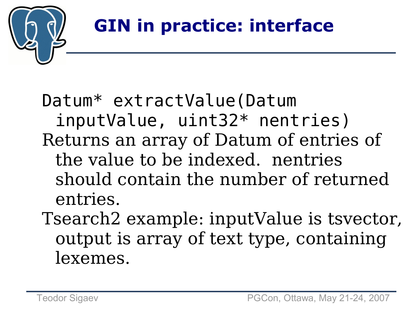

## **GIN in practice: interface**

Datum\* extractValue(Datum inputValue, uint32\* nentries) Returns an array of Datum of entries of the value to be indexed. nentries should contain the number of returned entries.

Tsearch2 example: inputValue is tsvector, output is array of text type, containing lexemes.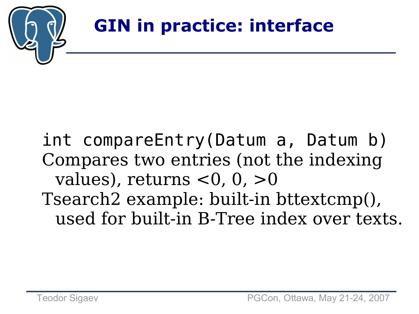

int compareEntry(Datum a, Datum b) Compares two entries (not the indexing values), returns  $<$ 0, 0,  $>$ 0 Tsearch2 example: built-in bttextcmp(), used for built-in B-Tree index over texts.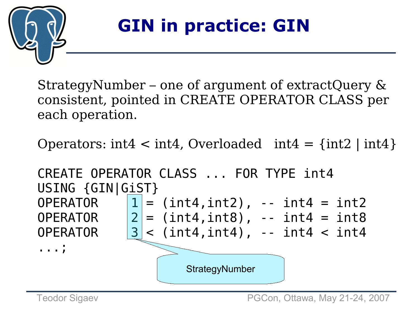

#### **GIN in practice: GIN**

StrategyNumber – one of argument of extractQuery & consistent, pointed in CREATE OPERATOR CLASS per each operation.

Operators:  $int4 < int4$ , Overloaded  $int4 = \{int2 | int4 \}$ 

CREATE OPERATOR CLASS ... FOR TYPE int4 USING {GIN|GiST} OPERATOR  $|1| = (int4, int2)$ , --  $int4 = int2$ OPERATOR  $|2| = (int4, int8)$ ,  $-int4 = int8$ OPERATOR  $|3| <$  (int4,int4), -- int4  $<$  int4 ...; **StrategyNumber**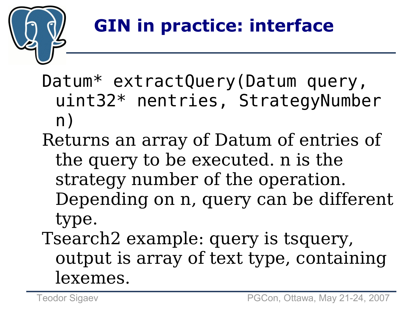

Datum\* extractQuery(Datum query, uint32\* nentries, StrategyNumber n)

- Returns an array of Datum of entries of the query to be executed. n is the strategy number of the operation. Depending on n, query can be different type.
- Tsearch2 example: query is tsquery, output is array of text type, containing lexemes.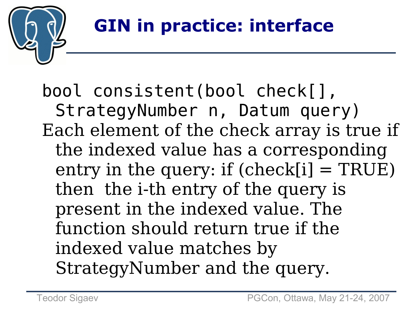

bool consistent(bool check[], StrategyNumber n, Datum query) Each element of the check array is true if the indexed value has a corresponding entry in the query: if  $(check[i] = TRUE)$ then the i-th entry of the query is present in the indexed value. The function should return true if the indexed value matches by StrategyNumber and the query.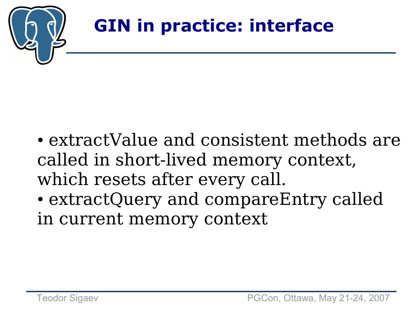

- extractValue and consistent methods are called in short-lived memory context, which resets after every call.
- extractQuery and compareEntry called in current memory context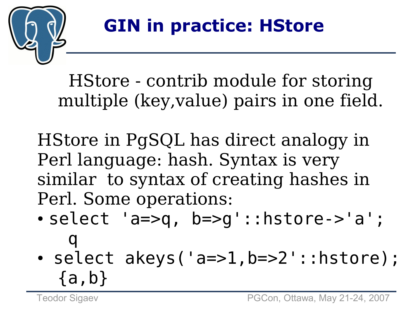

HStore - contrib module for storing multiple (key,value) pairs in one field.

HStore in PgSQL has direct analogy in Perl language: hash. Syntax is very similar to syntax of creating hashes in Perl. Some operations:

- $\bullet$  select 'a=>q, b=>q'::hstore->'a'; q
- select akeys('a=>1,b=>2'::hstore); {a,b}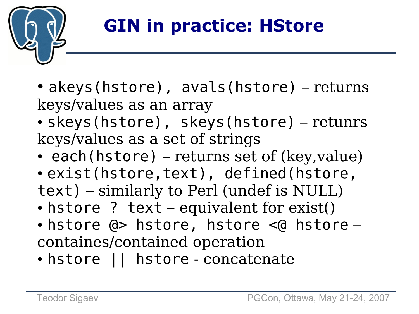

- akeys(hstore), avals(hstore) returns keys/values as an array
- skeys(hstore), skeys(hstore) retunrs keys/values as a set of strings
- each(hstore) returns set of (key, value)
- exist(hstore,text), defined(hstore, text) – similarly to Perl (undef is NULL)
- $\bullet$  hstore ? text equivalent for exist()
- hstore @> hstore, hstore <@ hstore containes/contained operation
- hstore | | hstore concatenate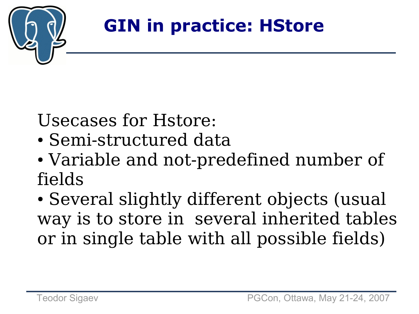

Usecases for Hstore:

- Semi-structured data
- Variable and not-predefined number of fields
- Several slightly different objects (usual way is to store in several inherited tables or in single table with all possible fields)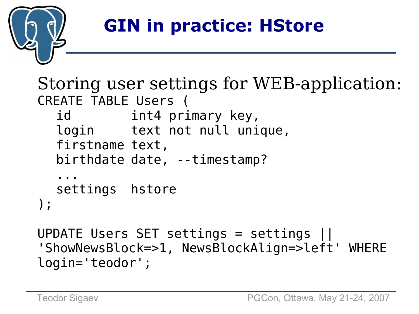

Storing user settings for WEB-application: CREATE TABLE Users ( id int4 primary key, login text not null unique, firstname text, birthdate date, --timestamp? ... settings hstore );

```
UPDATE Users SET settings = settings ||
'ShowNewsBlock=>1, NewsBlockAlign=>left' WHERE
login=
'teodor';
```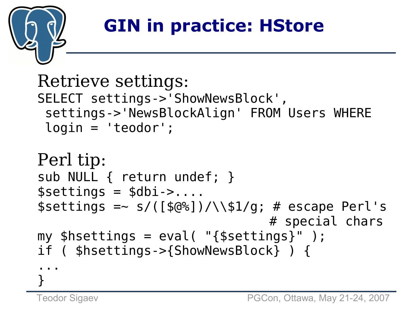

```
Retrieve settings:
SELECT settings->'ShowNewsBlock'
,
 settings->'NewsBlockAlign' FROM Users WHERE
 login =
'teodor';
Perl tip:
sub NULL { return undef; }
$settings = $dbi -....
$settings = ~ s/([60%]) / \151/g; # escape Perl's# special chars
my shsettings = eval( "fsettings'');
if ( $hsettings->{ShowNewsBlock} ) {
...
```
}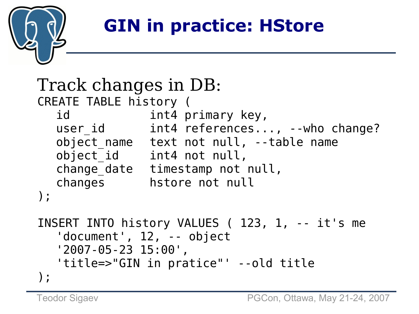

```
Track changes in DB:
CREATE TABLE history (
  id int4 primary key,
  user id int4 references..., --who change?
  object name text not null, --table name
  object id int4 not null,
  change date timestamp not null,
  changes hstore not null
);
INSERT INTO history VALUES ( 123, 1, -- it's me
  'document', 12, -- object
  '2007-05-23 15:00',
  'title=>"GIN in pratice"' --old title
);
```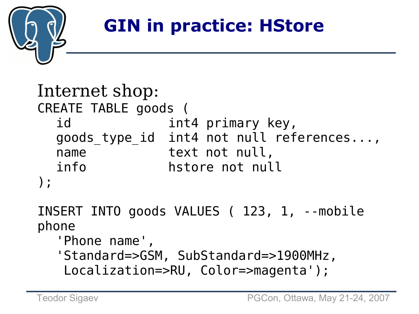

```
Internet shop:
CREATE TABLE goods (
  id int4 primary key,
  goods type id int4 not null references...,
  name text not null,
  info hstore not null
);
```
INSERT INTO goods VALUES ( 123, 1, --mobile phone

'Phone name' , 'Standard=>GSM, SubStandard=>1900MHz, Localization=>RU, Color=>magenta');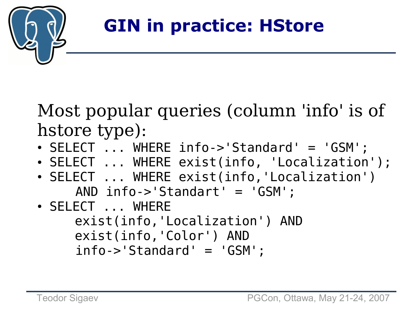

Most popular queries (column 'info' is of hstore type):

- SELECT ... WHERE info->'Standard' = 'GSM';
- SELECT ... WHERE exist(info, 'Localization');
- SELECT ... WHERE exist(info, 'Localization') AND info->'Standart' = 'GSM';
- SELECT ... WHERE exist(info, 'Localization') AND exist(info, 'Color') AND info->'Standard' = 'GSM';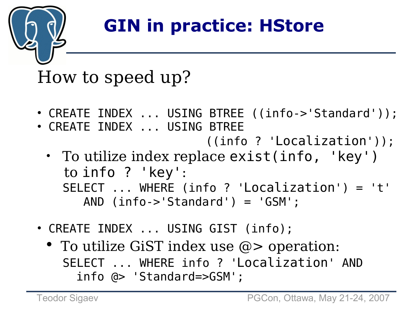

#### How to speed up?

- CREATE INDEX ... USING BTREE ((info->'Standard'));
- CREATE INDEX ... USING BTREE ((info ? 'Localization'));
	- To utilize index replace exist(info, 'key') to info ? 'key': SELECT ... WHERE (info ? 'Localization') = 't' AND (info->'Standard') = 'GSM';
- CREATE INDEX ... USING GIST (info);
	- To utilize GiST index use  $\omega$  > operation: SELECT ... WHERE info ? 'Localization' AND info @> 'Standard=>GSM';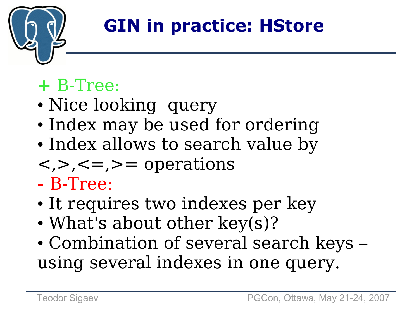

#### **+** B-Tree:

- Nice looking query
- Index may be used for ordering
- Index allows to search value by
- $\langle \rangle$ ,  $\langle \rangle$  = ,  $\rangle$  = operations
- **-** B-Tree:
- It requires two indexes per key
- What's about other key(s)?
- Combination of several search keys using several indexes in one query.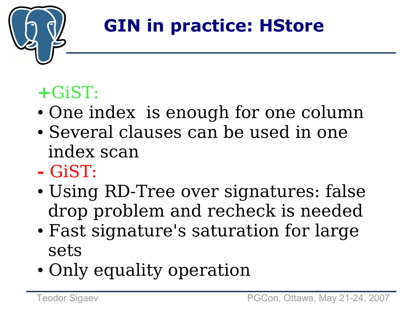

#### **+**GiST:

- One index is enough for one column
- Several clauses can be used in one index scan
- **-** GiST:
- Using RD-Tree over signatures: false drop problem and recheck is needed
- Fast signature's saturation for large sets
- Only equality operation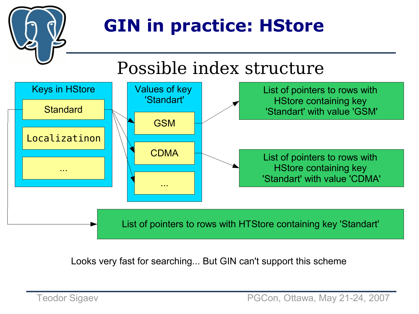

#### Possible index structure



Looks very fast for searching... But GIN can't support this scheme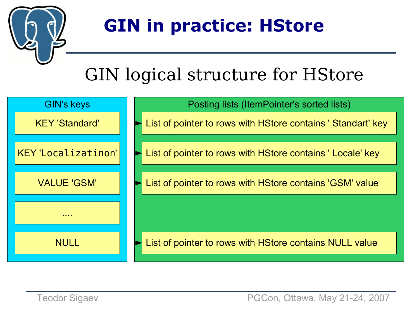

#### GIN logical structure for HStore

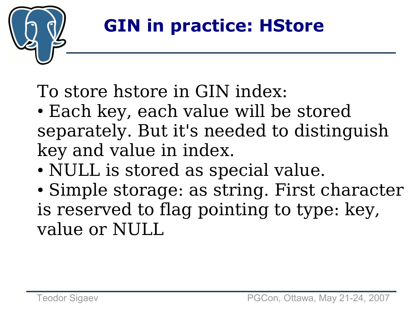

To store hstore in GIN index:

- Each key, each value will be stored separately. But it's needed to distinguish key and value in index.
- NULL is stored as special value.
- Simple storage: as string. First character is reserved to flag pointing to type: key, value or NULL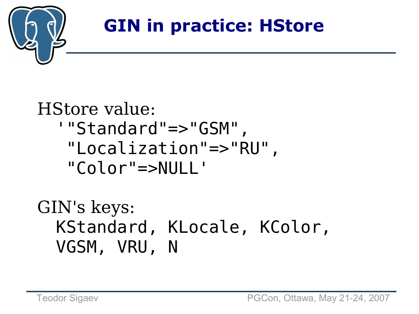

#### HStore value: '"Standard"=>"GSM", "Localization"=>"RU", "Color"=>NULL'

#### GIN's keys: KStandard, KLocale, KColor, VGSM, VRU, N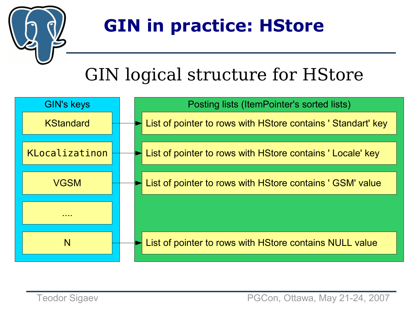

#### GIN logical structure for HStore

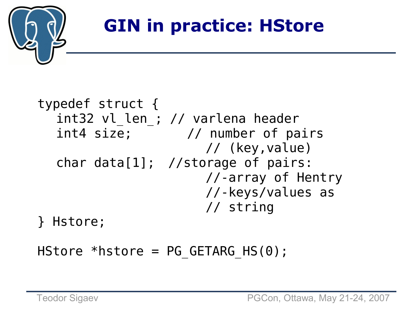

```
typedef struct {
  int32 vl_len_; // varlena header
  int4 size; // number of pairs
                     // (key,value)
  char data[1]; //storage of pairs:
                      //-array of Hentry
                      //-keys/values as
                      // string
} Hstore;
```
HStore \*hstore =  $PG$  GETARG HS(0);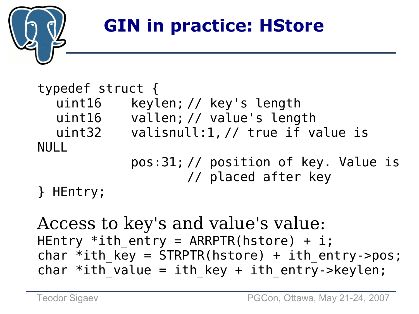

#### typedef struct { uint16 keylen; // key's length uint16 vallen; // value's length uint32 valisnull:1, // true if value is NULL pos:31; // position of key. Value is // placed after key } HEntry;

Access to key's and value's value: HEntry \*ith entry = ARRPTR(hstore) + i; char \*ith key =  $STRPTR(hstore) + ith entry-pos;$ char \*ith value = ith key + ith entry->keylen;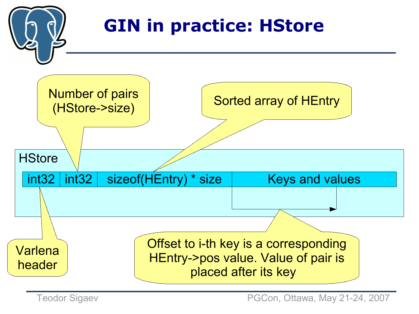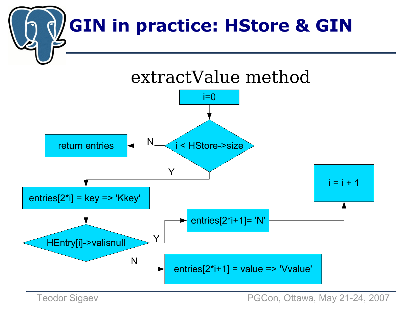





Teodor Sigaev **PGCon, Ottawa, May 21-24, 2007**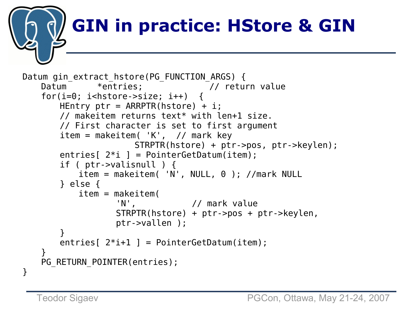# **GIN in practice: HStore & GIN**

```
Datum gin_extract_hstore(PG_FUNCTION_ARGS) {
   Datum *entries: // return value
   for(i=0; i<hstore->size; i++)HEntry ptr = ARRPTR(hstore) + i;// makeitem returns text* with len+1 size.
       // First character is set to first argument
       item = makeitem('K', // mark key)STRPTR(hstore) + ptr->pos, ptr->keylen);
       entries[2 * i] = PointerGetDatum(item);
       if ( ptr->valisnull ) {
           item = makeitem( 'N', NULL, 0 ); //mark NULL
       } else {
           item = makeitem(
                  'N', \frac{1}{\sqrt{2}} mark value
                  STRPTR(hstore) + ptr->pos + ptr->keylen, 
                  ptr->vallen );
       }
       entries [2^*i+1] = \text{PointerGetDatum}(item);}
   PG RETURN POINTER(entries);
}
```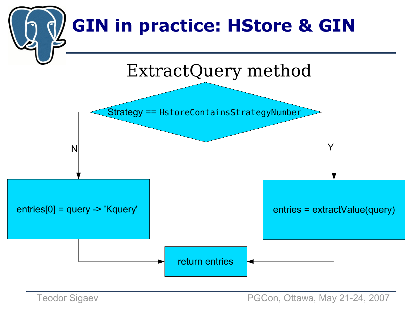

Teodor Sigaev **PGCon, Ottawa, May 21-24, 2007**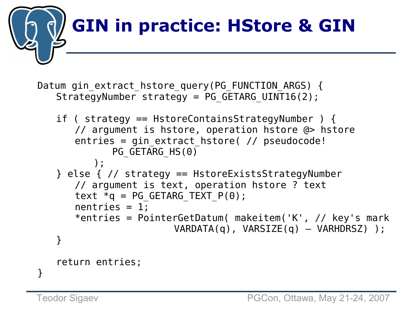

```
Datum gin extract hstore query(PG FUNCTION ARGS) {
   StrategyNumber strategy = PG GETARG UINT16(2);
```

```
if ( strategy == HstoreContainsStrategyNumber ) {
   // argument is hstore, operation hstore @> hstore
   entries = gin extract hstore( // pseudocode!
          PG GETARG HS(0));
} else { // strategy == HstoreExistsStrategyNumber 
   // argument is text, operation hstore ? text
   text *q = PG GETARG TEXT P(\theta);
   nentries = 1;
   *entries = PointerGetDatum( makeitem('K', // key's mark
                     VARDATA(q), VARSIZE(q) – VARHDRSZ) ); 
}
return entries;
```
}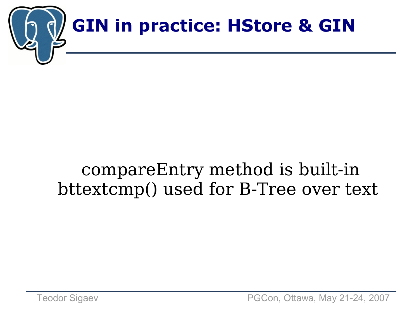

#### compareEntry method is built-in bttextcmp() used for B-Tree over text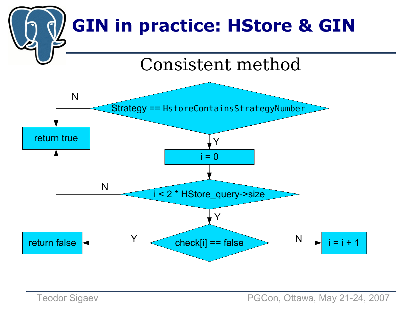

Teodor Sigaev **PGCon, Ottawa, May 21-24, 2007**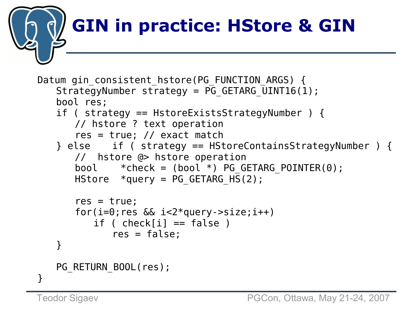# **GIN in practice: HStore & GIN**

```
Datum gin consistent hstore(PG FUNCTION ARGS) {
   StrategyNumber strategy = \overline{PG} GETARG UINT16(1);
   bool res;
   if ( strategy == HstoreExistsStrategyNumber ) {
      // hstore ? text operation
       res = true; // exact match
   } else if ( strategy == HStoreContainsStrategyNumber ) {
      // hstore @> hstore operation
       bool *check = (bool *) PG GETARG POINTER(0);
      HStore *query = PG GETARG H\overline{S}(2);
       res = true;
       for(i=0; res && i<2*query-\gesize;i++)
          if ( check[i] == false)res = false; 
   }
   PG RETURN BOOL(res);
}
```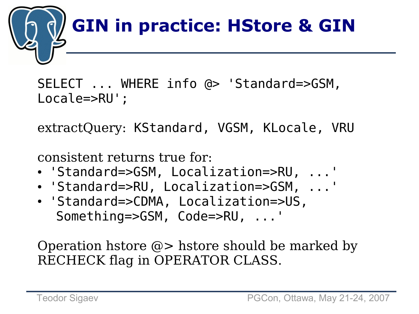

SELECT ... WHERE info @> 'Standard=>GSM, Locale=>RU';

extractQuery: KStandard, VGSM, KLocale, VRU

consistent returns true for:

- 'Standard=>GSM, Localization=>RU, ...'
- 'Standard=>RU, Localization=>GSM, ...'
- 'Standard=>CDMA, Localization=>US, Something=>GSM, Code=>RU, ...'

Operation hstore @> hstore should be marked by RECHECK flag in OPERATOR CLASS.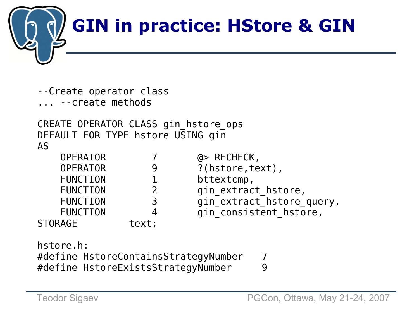

--Create operator class

... --create methods

CREATE OPERATOR CLASS gin\_hstore\_ops DEFAULT FOR TYPE hstore USING gin AS

| <b>OPERATOR</b> |       | $a >$ RECHECK,            |
|-----------------|-------|---------------------------|
| <b>OPERATOR</b> |       | ?(hstore, text),          |
| <b>FUNCTION</b> |       | bttextcmp,                |
| <b>FUNCTION</b> |       | gin extract hstore,       |
| <b>FUNCTION</b> | 3     | gin_extract_hstore_query, |
| <b>FUNCTION</b> | 4     | gin consistent hstore,    |
| STORAGE         | text; |                           |

hstore.h: #define HstoreContainsStrategyNumber 7 #define HstoreExistsStrategyNumber 9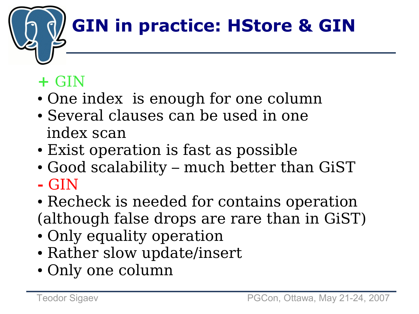# **GIN in practice: HStore & GIN**

#### **+** GIN

- One index is enough for one column
- Several clauses can be used in one index scan
- Exist operation is fast as possible
- Good scalability much better than GiST **-** GIN
- Recheck is needed for contains operation (although false drops are rare than in GiST)
- Only equality operation
- Rather slow update/insert
- Only one column